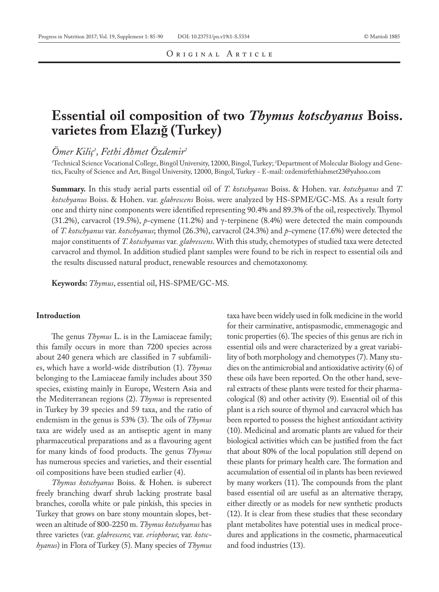# **Essential oil composition of two** *Thymus kotschyanus* **Boiss. varietes from Elazığ (Turkey)**

*Ömer Kiliç1 , Fethi Ahmet Özdemir2*

'Technical Science Vocational College, Bingöl University, 12000, Bingol, Turkey; 'Department of Molecular Biology and Genetics, Faculty of Science and Art, Bingol University, 12000, Bingol, Turkey - E-mail: ozdemirfethiahmet23@yahoo.com

**Summary.** In this study aerial parts essential oil of *T. kotschyanus* Boiss. & Hohen. var. *kotschyanus* and *T. kotschyanus* Boiss. & Hohen. var. *glabrescens* Boiss. were analyzed by HS-SPME/GC-MS. As a result forty one and thirty nine components were identified representing 90.4% and 89.3% of the oil, respectively. Thymol (31.2%), carvacrol (19.5%), *p*-cymene (11.2%) and γ-terpinene (8.4%) were detected the main compounds of *T. kotschyanus* var. *kotschyanus*; thymol (26.3%), carvacrol (24.3%) and *p*-cymene (17.6%) were detected the major constituents of *T. kotschyanus* var*. glabrescens*. With this study, chemotypes of studied taxa were detected carvacrol and thymol. In addition studied plant samples were found to be rich in respect to essential oils and the results discussed natural product, renewable resources and chemotaxonomy.

**Keywords:** *Thymus*, essential oil, HS-SPME/GC-MS.

## **Introduction**

The genus *Thymus* L. is in the Lamiaceae family; this family occurs in more than 7200 species across about 240 genera which are classified in 7 subfamilies, which have a world-wide distribution (1). *Thymus* belonging to the Lamiaceae family includes about 350 species, existing mainly in Europe, Western Asia and the Mediterranean regions (2). *Thymus* is represented in Turkey by 39 species and 59 taxa, and the ratio of endemism in the genus is 53% (3). The oils of *Thymus*  taxa are widely used as an antiseptic agent in many pharmaceutical preparations and as a flavouring agent for many kinds of food products. The genus *Thymus*  has numerous species and varieties, and their essential oil compositions have been studied earlier (4).

*Thymus kotschyanus* Boiss. & Hohen. is suberect freely branching dwarf shrub lacking prostrate basal branches, corolla white or pale pinkish, this species in Turkey that grows on bare stony mountain slopes, between an altitude of 800-2250 m. *Thymus kotschyanus* has three varietes (var. *glabrescens*; var. *eriophorus*; var. *kotschyanus*) in Flora of Turkey (5). Many species of *Thymus*

taxa have been widely used in folk medicine in the world for their carminative, antispasmodic, emmenagogic and tonic properties (6). The species of this genus are rich in essential oils and were characterized by a great variability of both morphology and chemotypes (7). Many studies on the antimicrobial and antioxidative activity (6) of these oils have been reported. On the other hand, several extracts of these plants were tested for their pharmacological (8) and other activity (9). Essential oil of this plant is a rich source of thymol and carvacrol which has been reported to possess the highest antioxidant activity (10). Medicinal and aromatic plants are valued for their biological activities which can be justified from the fact that about 80% of the local population still depend on these plants for primary health care. The formation and accumulation of essential oil in plants has been reviewed by many workers (11). The compounds from the plant based essential oil are useful as an alternative therapy, either directly or as models for new synthetic products (12). It is clear from these studies that these secondary plant metabolites have potential uses in medical procedures and applications in the cosmetic, pharmaceutical and food industries (13).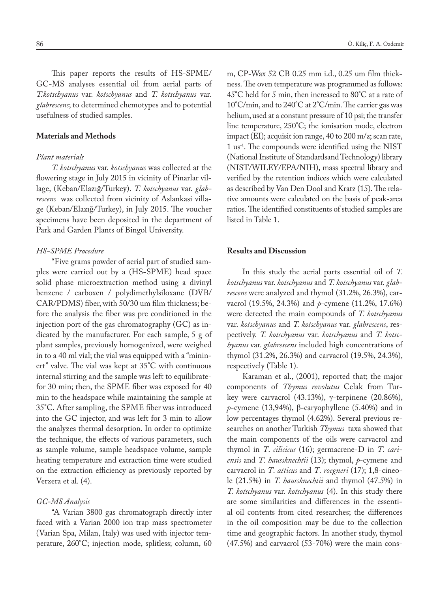This paper reports the results of HS-SPME/ GC-MS analyses essential oil from aerial parts of *T.kotschyanus* var. *kotschyanus* and *T. kotschyanus* var*. glabrescens*; to determined chemotypes and to potential usefulness of studied samples.

# **Materials and Methods**

#### *Plant materials*

*T. kotschyanus* var. *kotschyanus* was collected at the flowering stage in July 2015 in vicinity of Pinarlar village, (Keban/Elazığ/Turkey). *T. kotschyanus* var. *glabrescens* was collected from vicinity of Aslankasi village (Keban/Elazığ/Turkey), in July 2015. The voucher specimens have been deposited in the department of Park and Garden Plants of Bingol University.

## *HS-SPME Procedure*

"Five grams powder of aerial part of studied samples were carried out by a (HS-SPME) head space solid phase microextraction method using a divinyl benzene / carboxen / polydimethylsiloxane (DVB/ CAR/PDMS) fiber, with 50/30 um film thickness; before the analysis the fiber was pre conditioned in the injection port of the gas chromatography (GC) as indicated by the manufacturer. For each sample, 5 g of plant samples, previously homogenized, were weighed in to a 40 ml vial; the vial was equipped with a ''mininert'' valve. The vial was kept at 35°C with continuous internal stirring and the sample was left to equilibratefor 30 min; then, the SPME fiber was exposed for 40 min to the headspace while maintaining the sample at 35°C. After sampling, the SPME fiber was introduced into the GC injector, and was left for 3 min to allow the analyzes thermal desorption. In order to optimize the technique, the effects of various parameters, such as sample volume, sample headspace volume, sample heating temperature and extraction time were studied on the extraction efficiency as previously reported by Verzera et al. (4).

## *GC-MS Analysis*

"A Varian 3800 gas chromatograph directly inter faced with a Varian 2000 ion trap mass spectrometer (Varian Spa, Milan, Italy) was used with injector temperature, 260°C; injection mode, splitless; column, 60 m, CP-Wax 52 CB 0.25 mm i.d., 0.25 um film thickness. The oven temperature was programmed as follows: 45°C held for 5 min, then increased to 80°C at a rate of 10°C/min, and to 240°C at 2°C/min. The carrier gas was helium, used at a constant pressure of 10 psi; the transfer line temperature, 250°C; the ionisation mode, electron impact (EI); acquisit ion range, 40 to 200 m/z; scan rate, 1 us-1. The compounds were identified using the NIST (National Institute of Standardsand Technology) library (NIST/WILEY/EPA/NIH), mass spectral library and verified by the retention indices which were calculated as described by Van Den Dool and Kratz (15). The relative amounts were calculated on the basis of peak-area ratios. The identified constituents of studied samples are listed in Table 1.

# **Results and Discussion**

In this study the aerial parts essential oil of *T. kotschyanus* var. *kotschyanus* and *T. kotschyanus* var. *glabrescens* were analyzed and thymol (31.2%, 26.3%), carvacrol (19.5%, 24.3%) and *p*-cymene (11.2%, 17.6%) were detected the main compounds of *T. kotschyanus*  var. *kotschyanus* and *T. kotschyanus* var*. glabrescens*, respectively. *T. kotschyanus* var. *kotschyanus* and *T. kotschyanus* var. *glabrescens* included high concentrations of thymol (31.2%, 26.3%) and carvacrol (19.5%, 24.3%), respectively (Table 1).

Karaman et al., (2001), reported that; the major components of *Thymus revolutus* Celak from Turkey were carvacrol (43.13%), γ-terpinene (20.86%), *p*-cymene (13,94%), β-caryophyllene (5.40%) and in low percentages thymol (4.62%). Several previous researches on another Turkish *Thymus* taxa showed that the main components of the oils were carvacrol and thymol in *T*. *cilicicus* (16); germacrene-D in *T*. *cariensis* and *T*. *haussknechtii* (13); thymol, *p*-cymene and carvacrol in *T*. *atticus* and *T*. *roegneri* (17); 1,8-cineole (21.5%) in *T. haussknechtii* and thymol (47.5%) in *T. kotschyanus* var. *kotschyanus* (4). In this study there are some similarities and differences in the essential oil contents from cited researches; the differences in the oil composition may be due to the collection time and geographic factors. In another study, thymol (47.5%) and carvacrol (53-70%) were the main cons-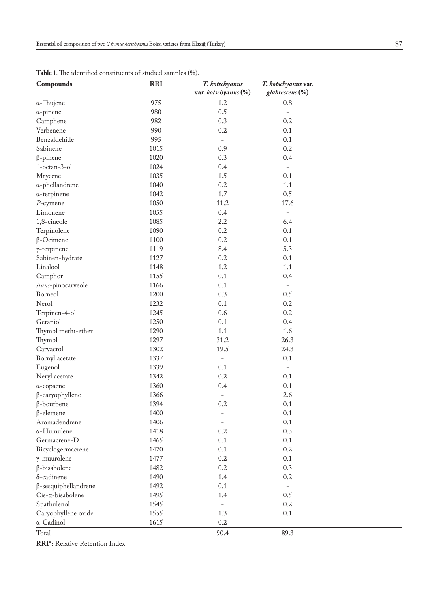| Compounds                                   | <b>RRI</b> | T. kotschyanus<br>var. kotschyanus (%) | T. kotschyanus var.<br>glabrescens (%) |
|---------------------------------------------|------------|----------------------------------------|----------------------------------------|
| $\alpha$ -Thujene                           | 975        | 1.2                                    | $0.8\,$                                |
| $\alpha$ -pinene                            | 980        | 0.5                                    | $\overline{\phantom{a}}$               |
| Camphene                                    | 982        | 0.3                                    | 0.2                                    |
| Verbenene                                   | 990        | 0.2                                    | 0.1                                    |
| Benzaldehide                                | 995        | $\overline{\phantom{a}}$               | 0.1                                    |
| Sabinene                                    | 1015       | 0.9                                    | 0.2                                    |
| $\beta$ -pinene                             | 1020       | 0.3                                    | 0.4                                    |
| 1-octan-3-ol                                | 1024       | 0.4                                    | $\blacksquare$                         |
| Mrycene                                     | 1035       | 1.5                                    | 0.1                                    |
| $\alpha$ -phellandrene                      | 1040       | 0.2                                    | 1.1                                    |
| $\alpha$ -terpinene                         | 1042       | 1.7                                    | 0.5                                    |
| $P$ -cymene                                 | 1050       | 11.2                                   | 17.6                                   |
| Limonene                                    | 1055       | 0.4                                    | $\overline{\phantom{0}}$               |
| 1,8-cineole                                 | 1085       | 2.2                                    | 6.4                                    |
| Terpinolene                                 | 1090       | 0.2                                    | 0.1                                    |
| $\beta$ -Ocimene                            | 1100       | 0.2                                    | 0.1                                    |
| $\gamma$ -terpinene                         | 1119       | 8.4                                    | 5.3                                    |
| Sabinen-hydrate                             | 1127       | 0.2                                    | 0.1                                    |
| Linalool                                    | 1148       | 1.2                                    | 1.1                                    |
| Camphor                                     | 1155       | 0.1                                    | 0.4                                    |
| trans-pinocarveole                          | 1166       | 0.1                                    |                                        |
| Borneol                                     | 1200       | 0.3                                    | 0.5                                    |
| Nerol                                       | 1232       | 0.1                                    | 0.2                                    |
| Terpinen-4-ol                               | 1245       | 0.6                                    | 0.2                                    |
| Geraniol                                    | 1250       | 0.1                                    | 0.4                                    |
| Thymol methi-ether                          | 1290       | $1.1\,$                                | 1.6                                    |
| Thymol                                      | 1297       | 31.2                                   | 26.3                                   |
| Carvacrol                                   | 1302       | 19.5                                   | 24.3                                   |
| Bornyl acetate                              | 1337       | $\qquad \qquad -$                      | 0.1                                    |
| Eugenol                                     | 1339       | 0.1                                    | $\frac{1}{2}$                          |
| Neryl acetate                               | 1342       | 0.2                                    | 0.1                                    |
|                                             | 1360       | 0.4                                    | 0.1                                    |
| $\alpha$ -copaene<br>$\beta$ -caryophyllene | 1366       |                                        | 2.6                                    |
| $\beta$ -bourbene                           | 1394       | $\qquad \qquad -$<br>0.2               | 0.1                                    |
| $\beta$ -elemene                            | 1400       |                                        | 0.1                                    |
| Aromadendrene                               | 1406       | $\qquad \qquad -$                      | 0.1                                    |
| $\alpha$ -Humulene                          | 1418       | 0.2                                    | 0.3                                    |
| Germacrene-D                                | 1465       |                                        | 0.1                                    |
|                                             | 1470       | 0.1                                    | 0.2                                    |
| Bicyclogermacrene                           |            | 0.1                                    |                                        |
| $\gamma$ -muurolene                         | 1477       | 0.2                                    | 0.1                                    |
| β-bisabolene                                | 1482       | 0.2                                    | 0.3                                    |
| δ-cadinene                                  | 1490       | 1.4                                    | 0.2                                    |
| $\beta$ -sesquiphellandrene                 | 1492       | 0.1                                    |                                        |
| $Cis-\alpha-bisabolene$                     | 1495       | 1.4                                    | 0.5                                    |
| Spathulenol                                 | 1545       | Ĭ.                                     | 0.2                                    |
| Caryophyllene oxide                         | 1555       | 1.3                                    | 0.1                                    |
| $\alpha$ -Cadinol                           | 1615       | 0.2                                    | $\overline{\phantom{0}}$               |
| Total                                       |            | 90.4                                   | 89.3                                   |
| RRI*: Relative Retention Index              |            |                                        |                                        |

**Table 1**. The identified constituents of studied samples (%).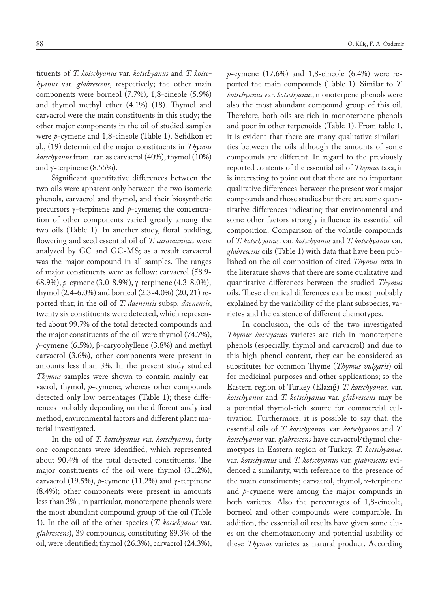tituents of *T. kotschyanus* var. *kotschyanus* and *T. kotschyanus* var. *glabrescens*, respectively; the other main components were borneol (7.7%), 1,8-cineole (5.9%) and thymol methyl ether (4.1%) (18). Thymol and carvacrol were the main constituents in this study; the other major components in the oil of studied samples were *p*-cymene and 1,8-cineole (Table 1). Sefidkon et al., (19) determined the major constituents in *Thymus kotschyanus* from Iran as carvacrol (40%), thymol (10%) and γ-terpinene (8.55%).

Significant quantitative differences between the two oils were apparent only between the two isomeric phenols, carvacrol and thymol, and their biosynthetic precursors γ-terpinene and *p*-cymene; the concentration of other components varied greatly among the two oils (Table 1). In another study, floral budding, flowering and seed essential oil of *T. caramanicus* were analyzed by GC and GC-MS; as a result carvacrol was the major compound in all samples. The ranges of major constituents were as follow: carvacrol (58.9- 68.9%), *p*-cymene (3.0-8.9%), γ-terpinene (4.3-8.0%), thymol (2.4-6.0%) and borneol (2.3-4.0%) (20, 21) reported that; in the oil of *T. daenensis* subsp. *daenensis*, twenty six constituents were detected, which represented about 99.7% of the total detected compounds and the major constituents of the oil were thymol (74.7%),  $p$ -cymene (6.5%), β-caryophyllene (3.8%) and methyl carvacrol (3.6%), other components were present in amounts less than 3%. In the present study studied *Thymus* samples were shown to contain mainly carvacrol, thymol, *p*-cymene; whereas other compounds detected only low percentages (Table 1); these differences probably depending on the different analytical method, environmental factors and different plant material investigated.

In the oil of *T. kotschyanus* var. *kotschyanus*, forty one components were identified, which represented about 90.4% of the total detected constituents. The major constituents of the oil were thymol (31.2%), carvacrol (19.5%), *p*-cymene (11.2%) and γ-terpinene (8.4%); other components were present in amounts less than 3% ; in particular, monoterpene phenols were the most abundant compound group of the oil (Table 1). In the oil of the other species (*T. kotschyanus* var. *glabrescens*), 39 compounds, constituting 89.3% of the oil, were identified; thymol (26.3%), carvacrol (24.3%), *p*-cymene (17.6%) and 1,8-cineole (6.4%) were reported the main compounds (Table 1). Similar to *T. kotschyanus* var. *kotschyanus*, monoterpene phenols were also the most abundant compound group of this oil. Therefore, both oils are rich in monoterpene phenols and poor in other terpenoids (Table 1). From table 1, it is evident that there are many qualitative similarities between the oils although the amounts of some compounds are different. In regard to the previously reported contents of the essential oil of *Thymus* taxa, it is interesting to point out that there are no important qualitative differences between the present work major compounds and those studies but there are some quantitative differences indicating that environmental and some other factors strongly influence its essential oil composition. Comparison of the volatile compounds of *T. kotschyanus*. var. *kotschyanus* and *T. kotschyanus* var. *glabrescens* oils (Table 1) with data that have been published on the oil composition of cited *Thymus* raxa in the literature shows that there are some qualitative and quantitative differences between the studied *Thymus* oils. These chemical differences can be most probably explained by the variability of the plant subspecies, varietes and the existence of different chemotypes.

In conclusion, the oils of the two investigated *Thymus kotscyanus* varietes are rich in monoterpene phenols (especially, thymol and carvacrol) and due to this high phenol content, they can be considered as substitutes for common Thyme (*Thymus vulgaris*) oil for medicinal purposes and other applications; so the Eastern region of Turkey (Elazığ) *T. kotschyanus*. var. *kotschyanus* and *T. kotschyanus* var. *glabrescens* may be a potential thymol-rich source for commercial cultivation. Furthermore, it is possible to say that, the essential oils of *T. kotschyanus*. var. *kotschyanus* and *T. kotschyanus* var. *glabrescens* have carvacrol/thymol chemotypes in Eastern region of Turkey. *T. kotschyanus*. var. *kotschyanus* and *T. kotschyanus* var. *glabrescens* evidenced a similarity, with reference to the presence of the main constituents; carvacrol, thymol, γ-terpinene and *p*-cymene were among the major compunds in both varietes. Also the percentages of 1,8-cineole, borneol and other compounds were comparable. In addition, the essential oil results have given some clues on the chemotaxonomy and potential usability of these *Thymus* varietes as natural product. According